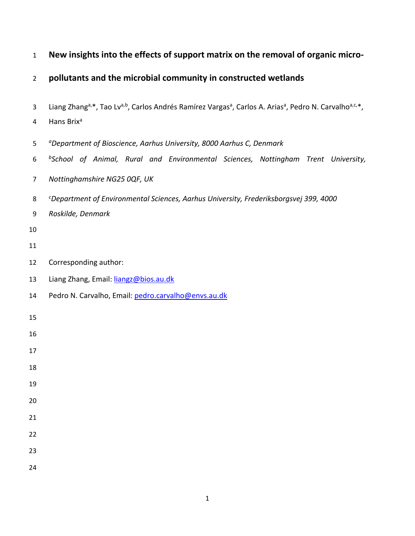| $\mathbf{1}$   | New insights into the effects of support matrix on the removal of organic micro-                                                                                     |
|----------------|----------------------------------------------------------------------------------------------------------------------------------------------------------------------|
| $\overline{2}$ | pollutants and the microbial community in constructed wetlands                                                                                                       |
| 3              | Liang Zhang <sup>a,*</sup> , Tao Lv <sup>a,b</sup> , Carlos Andrés Ramírez Vargas <sup>a</sup> , Carlos A. Arias <sup>a</sup> , Pedro N. Carvalho <sup>a,c,*</sup> , |
| 4              | Hans Brix <sup>a</sup>                                                                                                                                               |
| 5              | <sup>a</sup> Department of Bioscience, Aarhus University, 8000 Aarhus C, Denmark                                                                                     |
| 6              | <sup>b</sup> School of Animal, Rural and Environmental Sciences, Nottingham Trent University,                                                                        |
| $\overline{7}$ | Nottinghamshire NG25 0QF, UK                                                                                                                                         |
| 8              | <sup>c</sup> Department of Environmental Sciences, Aarhus University, Frederiksborgsvej 399, 4000                                                                    |
| 9              | Roskilde, Denmark                                                                                                                                                    |
| 10             |                                                                                                                                                                      |
| 11             |                                                                                                                                                                      |
| 12             | Corresponding author:                                                                                                                                                |
| 13             | Liang Zhang, Email: liangz@bios.au.dk                                                                                                                                |
| 14             | Pedro N. Carvalho, Email: pedro.carvalho@envs.au.dk                                                                                                                  |
| 15             |                                                                                                                                                                      |
| 16             |                                                                                                                                                                      |
| 17             |                                                                                                                                                                      |
| 18             |                                                                                                                                                                      |
| 19             |                                                                                                                                                                      |
| 20             |                                                                                                                                                                      |
| 21             |                                                                                                                                                                      |
| 22<br>23       |                                                                                                                                                                      |
| 24             |                                                                                                                                                                      |
|                |                                                                                                                                                                      |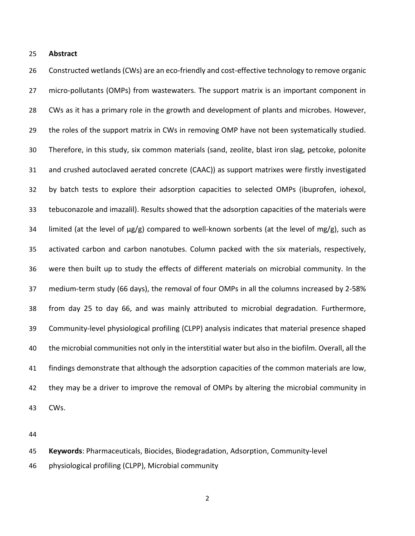**Abstract**

 Constructed wetlands (CWs) are an eco-friendly and cost-effective technology to remove organic micro-pollutants (OMPs) from wastewaters. The support matrix is an important component in CWs as it has a primary role in the growth and development of plants and microbes. However, 29 the roles of the support matrix in CWs in removing OMP have not been systematically studied. Therefore, in this study, six common materials (sand, zeolite, blast iron slag, petcoke, polonite and crushed autoclaved aerated concrete (CAAC)) as support matrixes were firstly investigated by batch tests to explore their adsorption capacities to selected OMPs (ibuprofen, iohexol, tebuconazole and imazalil). Results showed that the adsorption capacities of the materials were 34 limited (at the level of  $\mu$ g/g) compared to well-known sorbents (at the level of mg/g), such as activated carbon and carbon nanotubes. Column packed with the six materials, respectively, were then built up to study the effects of different materials on microbial community. In the medium-term study (66 days), the removal of four OMPs in all the columns increased by 2-58% from day 25 to day 66, and was mainly attributed to microbial degradation. Furthermore, Community-level physiological profiling (CLPP) analysis indicates that material presence shaped the microbial communities not only in the interstitial water but also in the biofilm. Overall, all the findings demonstrate that although the adsorption capacities of the common materials are low, they may be a driver to improve the removal of OMPs by altering the microbial community in CWs.

**Keywords**: Pharmaceuticals, Biocides, Biodegradation, Adsorption, Community-level

physiological profiling (CLPP), Microbial community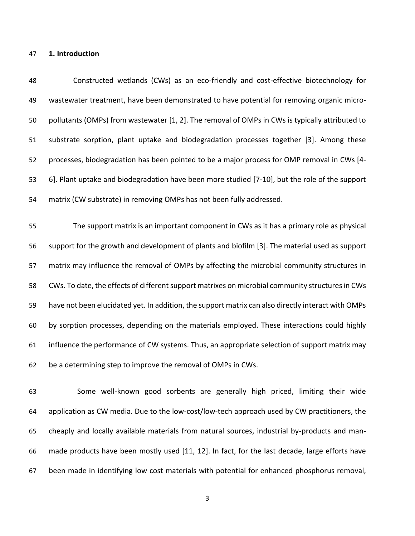## **1. Introduction**

 Constructed wetlands (CWs) as an eco-friendly and cost-effective biotechnology for wastewater treatment, have been demonstrated to have potential for removing organic micro- pollutants (OMPs) from wastewater [\[1,](#page-28-0) [2\]](#page-28-1). The removal of OMPs in CWs is typically attributed to substrate sorption, plant uptake and biodegradation processes together [\[3\]](#page-28-2). Among these processes, biodegradation has been pointed to be a major process for OMP removal in CWs [\[4-](#page-28-3) [6\]](#page-28-3). Plant uptake and biodegradation have been more studied [\[7-10\]](#page-29-0), but the role of the support matrix (CW substrate) in removing OMPs has not been fully addressed.

 The support matrix is an important component in CWs as it has a primary role as physical support for the growth and development of plants and biofilm [\[3\]](#page-28-2). The material used as support matrix may influence the removal of OMPs by affecting the microbial community structures in CWs. To date, the effects of different support matrixes on microbial community structures in CWs have not been elucidated yet. In addition, the support matrix can also directly interact with OMPs by sorption processes, depending on the materials employed. These interactions could highly influence the performance of CW systems. Thus, an appropriate selection of support matrix may be a determining step to improve the removal of OMPs in CWs.

 Some well-known good sorbents are generally high priced, limiting their wide application as CW media. Due to the low-cost/low-tech approach used by CW practitioners, the cheaply and locally available materials from natural sources, industrial by-products and man- made products have been mostly used [\[11,](#page-29-1) [12\]](#page-29-2). In fact, for the last decade, large efforts have been made in identifying low cost materials with potential for enhanced phosphorus removal,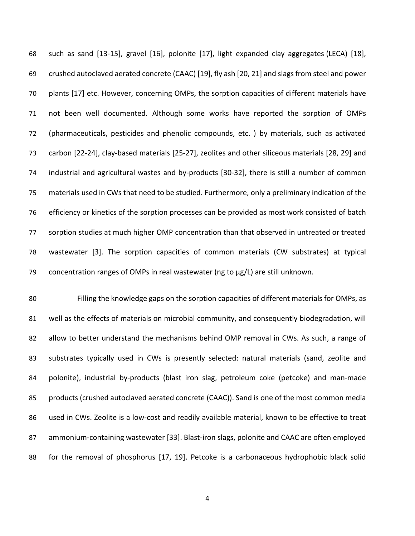such as sand [\[13-15\]](#page-29-3), gravel [\[16\]](#page-29-4), polonite [\[17\]](#page-29-5), light expanded clay aggregates (LECA) [\[18\]](#page-29-6), crushed autoclaved aerated concrete (CAAC) [\[19\]](#page-30-0), fly ash [\[20,](#page-30-1) [21\]](#page-30-2) and slags from steel and power plants [\[17\]](#page-29-5) etc. However, concerning OMPs, the sorption capacities of different materials have not been well documented. Although some works have reported the sorption of OMPs (pharmaceuticals, pesticides and phenolic compounds, etc. ) by materials, such as activated carbon [\[22-24\]](#page-30-3), clay-based materials [\[25-27\]](#page-30-4), zeolites and other siliceous materials [\[28,](#page-30-5) [29\]](#page-30-6) and industrial and agricultural wastes and by-products [\[30-32\]](#page-30-7), there is still a number of common materials used in CWs that need to be studied. Furthermore, only a preliminary indication of the efficiency or kinetics of the sorption processes can be provided as most work consisted of batch sorption studies at much higher OMP concentration than that observed in untreated or treated wastewater [\[3\]](#page-28-2). The sorption capacities of common materials (CW substrates) at typical 79 concentration ranges of OMPs in real wastewater (ng to  $\mu$ g/L) are still unknown.

 Filling the knowledge gaps on the sorption capacities of different materials for OMPs, as well as the effects of materials on microbial community, and consequently biodegradation, will 82 allow to better understand the mechanisms behind OMP removal in CWs. As such, a range of substrates typically used in CWs is presently selected: natural materials (sand, zeolite and polonite), industrial by-products (blast iron slag, petroleum coke (petcoke) and man-made products (crushed autoclaved aerated concrete (CAAC)). Sand is one of the most common media used in CWs. Zeolite is a low-cost and readily available material, known to be effective to treat ammonium-containing wastewater [\[33\]](#page-31-0). Blast-iron slags, polonite and CAAC are often employed for the removal of phosphorus [\[17,](#page-29-5) [19\]](#page-30-0). Petcoke is a carbonaceous hydrophobic black solid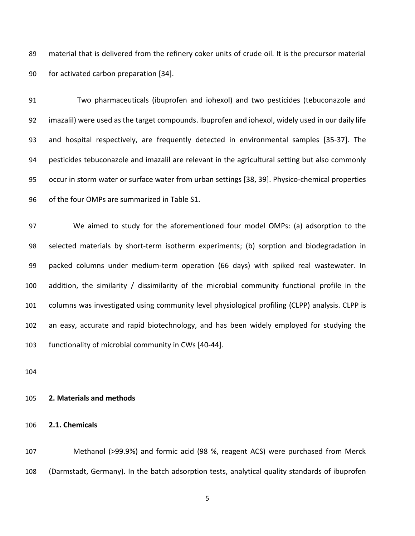material that is delivered from the refinery coker units of crude oil. It is the precursor material for activated carbon preparation [\[34\]](#page-31-1).

 Two pharmaceuticals (ibuprofen and iohexol) and two pesticides (tebuconazole and imazalil) were used as the target compounds. Ibuprofen and iohexol, widely used in our daily life and hospital respectively, are frequently detected in environmental samples [\[35-37\]](#page-31-2). The pesticides tebuconazole and imazalil are relevant in the agricultural setting but also commonly occur in storm water or surface water from urban settings [\[38,](#page-31-3) [39\]](#page-31-4). Physico-chemical properties of the four OMPs are summarized in Table S1.

 We aimed to study for the aforementioned four model OMPs: (a) adsorption to the selected materials by short-term isotherm experiments; (b) sorption and biodegradation in packed columns under medium-term operation (66 days) with spiked real wastewater. In addition, the similarity / dissimilarity of the microbial community functional profile in the columns was investigated using community level physiological profiling (CLPP) analysis. CLPP is an easy, accurate and rapid biotechnology, and has been widely employed for studying the functionality of microbial community in CWs [\[40-44\]](#page-31-5).

## **2. Materials and methods**

## **2.1. Chemicals**

 Methanol (>99.9%) and formic acid (98 %, reagent ACS) were purchased from Merck (Darmstadt, Germany). In the batch adsorption tests, analytical quality standards of ibuprofen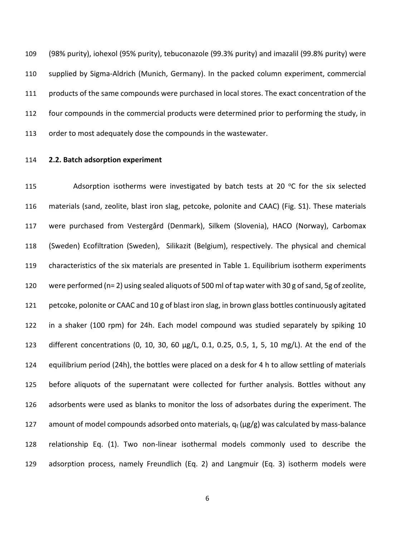(98% purity), iohexol (95% purity), tebuconazole (99.3% purity) and imazalil (99.8% purity) were supplied by Sigma-Aldrich (Munich, Germany). In the packed column experiment, commercial products of the same compounds were purchased in local stores. The exact concentration of the four compounds in the commercial products were determined prior to performing the study, in order to most adequately dose the compounds in the wastewater.

## **2.2. Batch adsorption experiment**

115 Adsorption isotherms were investigated by batch tests at 20  $\degree$ C for the six selected materials (sand, zeolite, blast iron slag, petcoke, polonite and CAAC) (Fig. S1). These materials were purchased from Vestergård (Denmark), Silkem (Slovenia), HACO (Norway), Carbomax (Sweden) Ecofiltration (Sweden), Silikazit (Belgium), respectively. The physical and chemical characteristics of the six materials are presented in Table 1. Equilibrium isotherm experiments were performed (n= 2) using sealed aliquots of 500 ml of tap water with 30 g of sand, 5g of zeolite, petcoke, polonite or CAAC and 10 g of blast iron slag, in brown glass bottles continuously agitated in a shaker (100 rpm) for 24h. Each model compound was studied separately by spiking 10 different concentrations (0, 10, 30, 60 µg/L, 0.1, 0.25, 0.5, 1, 5, 10 mg/L). At the end of the equilibrium period (24h), the bottles were placed on a desk for 4 h to allow settling of materials before aliquots of the supernatant were collected for further analysis. Bottles without any adsorbents were used as blanks to monitor the loss of adsorbates during the experiment. The 127 amount of model compounds adsorbed onto materials,  $q_t$  ( $\mu$ g/g) was calculated by mass-balance relationship Eq. (1). Two non-linear isothermal models commonly used to describe the adsorption process, namely Freundlich (Eq. 2) and Langmuir (Eq. 3) isotherm models were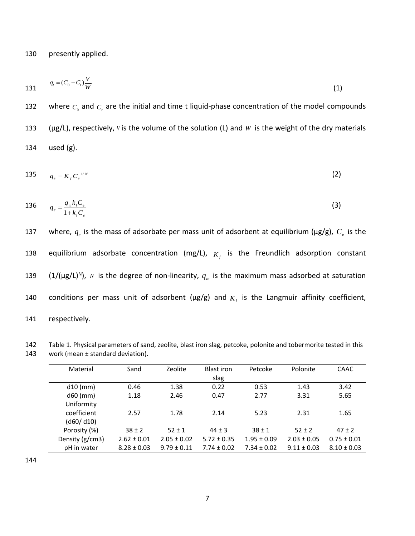130 presently applied.

131 
$$
q_t = (C_0 - C_t) \frac{V}{W}
$$
 (1)

132 where  $C_0$  and  $C_t$  are the initial and time t liquid-phase concentration of the model compounds 133 ( $\mu$ g/L), respectively, *V* is the volume of the solution (L) and *W* is the weight of the dry materials 134 used (g).

$$
135 \qquad q_e = K_f C_e^{1/N} \tag{2}
$$

136 
$$
q_e = \frac{q_m k_i C_e}{1 + k_i C_e}
$$
 (3)

137 where,  $q_e$  is the mass of adsorbate per mass unit of adsorbent at equilibrium ( $\mu$ g/g),  $C_e$  is the 138 equilibrium adsorbate concentration (mg/L),  $K_f$  is the Freundlich adsorption constant 139 (1/( $\mu$ g/L)<sup>N</sup>), *N* is the degree of non-linearity,  $q_m$  is the maximum mass adsorbed at saturation 140 conditions per mass unit of adsorbent ( $\mu$ g/g) and  $K<sub>l</sub>$  is the Langmuir affinity coefficient, 141 respectively.

| 142 | Table 1. Physical parameters of sand, zeolite, blast iron slag, petcoke, polonite and tobermorite tested in this |
|-----|------------------------------------------------------------------------------------------------------------------|
| 143 | work (mean $\pm$ standard deviation).                                                                            |

| Material        | Sand            | Zeolite         | Blast iron<br>slag | Petcoke         | Polonite        | <b>CAAC</b>     |
|-----------------|-----------------|-----------------|--------------------|-----------------|-----------------|-----------------|
| $d10$ (mm)      | 0.46            | 1.38            | 0.22               | 0.53            | 1.43            | 3.42            |
| $d60$ (mm)      | 1.18            | 2.46            | 0.47               | 2.77            | 3.31            | 5.65            |
| Uniformity      |                 |                 |                    |                 |                 |                 |
| coefficient     | 2.57            | 1.78            | 2.14               | 5.23            | 2.31            | 1.65            |
| (d60/d10)       |                 |                 |                    |                 |                 |                 |
| Porosity (%)    | $38 \pm 2$      | $52 \pm 1$      | $44 \pm 3$         | $38 \pm 1$      | $52 \pm 2$      | $47 + 2$        |
| Density (g/cm3) | $2.62 \pm 0.01$ | $2.05 \pm 0.02$ | $5.72 \pm 0.35$    | $1.95 \pm 0.09$ | $2.03 \pm 0.05$ | $0.75 \pm 0.01$ |
| pH in water     | $8.28 \pm 0.03$ | $9.79 \pm 0.11$ | $7.74 \pm 0.02$    | $7.34 \pm 0.02$ | $9.11 \pm 0.03$ | $8.10 \pm 0.03$ |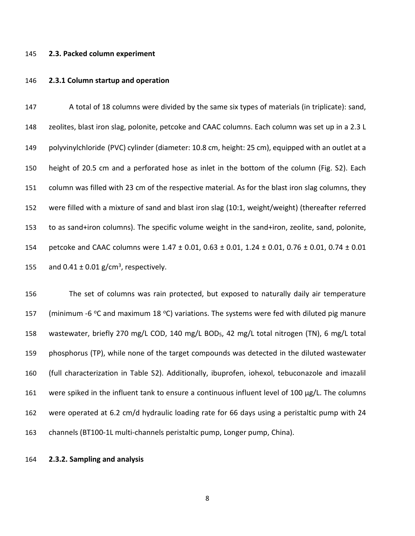#### **2.3. Packed column experiment**

#### **2.3.1 Column startup and operation**

 A total of 18 columns were divided by the same six types of materials (in triplicate): sand, zeolites, blast iron slag, polonite, petcoke and CAAC columns. Each column was set up in a 2.3 L polyvinylchloride (PVC) cylinder (diameter: 10.8 cm, height: 25 cm), equipped with an outlet at a height of 20.5 cm and a perforated hose as inlet in the bottom of the column (Fig. S2). Each column was filled with 23 cm of the respective material. As for the blast iron slag columns, they were filled with a mixture of sand and blast iron slag (10:1, weight/weight) (thereafter referred to as sand+iron columns). The specific volume weight in the sand+iron, zeolite, sand, polonite, petcoke and CAAC columns were 1.47 ± 0.01, 0.63 ± 0.01, 1.24 ± 0.01, 0.76 ± 0.01, 0.74 ± 0.01 155 and  $0.41 \pm 0.01$  g/cm<sup>3</sup>, respectively.

 The set of columns was rain protected, but exposed to naturally daily air temperature 157 (minimum -6 °C and maximum 18 °C) variations. The systems were fed with diluted pig manure wastewater, briefly 270 mg/L COD, 140 mg/L BOD5, 42 mg/L total nitrogen (TN), 6 mg/L total phosphorus (TP), while none of the target compounds was detected in the diluted wastewater (full characterization in Table S2). Additionally, ibuprofen, iohexol, tebuconazole and imazalil 161 were spiked in the influent tank to ensure a continuous influent level of 100  $\mu$ g/L. The columns were operated at 6.2 cm/d hydraulic loading rate for 66 days using a peristaltic pump with 24 channels (BT100-1L multi-channels peristaltic pump, Longer pump, China).

## **2.3.2. Sampling and analysis**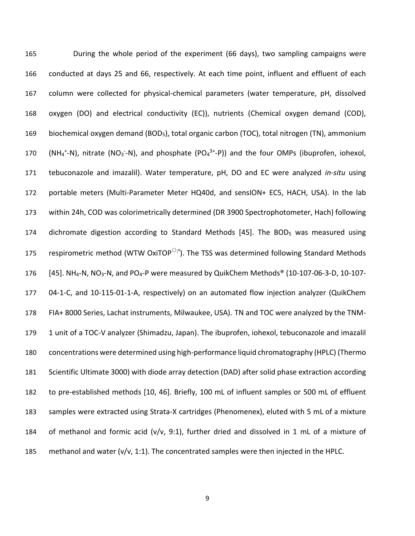During the whole period of the experiment (66 days), two sampling campaigns were conducted at days 25 and 66, respectively. At each time point, influent and effluent of each column were collected for physical-chemical parameters (water temperature, pH, dissolved oxygen (DO) and electrical conductivity (EC)), nutrients (Chemical oxygen demand (COD), 169 biochemical oxygen demand (BOD<sub>5</sub>), total organic carbon (TOC), total nitrogen (TN), ammonium 170 (NH<sub>4</sub><sup>+</sup>-N), nitrate (NO<sub>3</sub>-N), and phosphate (PO<sub>4</sub><sup>3+</sup>-P)) and the four OMPs (ibuprofen, iohexol, tebuconazole and imazalil). Water temperature, pH, DO and EC were analyzed *in-situ* using portable meters (Multi-Parameter Meter HQ40d, and sensION+ EC5, HACH, USA). In the lab within 24h, COD was colorimetrically determined (DR 3900 Spectrophotometer, Hach) following 174 dichromate digestion according to Standard Methods [\[45\]](#page-32-0). The BOD<sub>5</sub> was measured using  $\;\;$  respirometric method (WTW OxiTOP<sup>O;R</sup>). The TSS was determined following Standard Methods [\[45\]](#page-32-0). NH<sub>4</sub>-N, NO<sub>3</sub>-N, and PO<sub>4</sub>-P were measured by QuikChem Methods<sup>®</sup> (10-107-06-3-D, 10-107- 04-1-C, and 10-115-01-1-A, respectively) on an automated flow injection analyzer (QuikChem FIA+ 8000 Series, Lachat instruments, Milwaukee, USA). TN and TOC were analyzed by the TNM- 1 unit of a TOC-V analyzer (Shimadzu, Japan). The ibuprofen, iohexol, tebuconazole and imazalil concentrations were determined using high-performance liquid chromatography (HPLC) (Thermo Scientific Ultimate 3000) with diode array detection (DAD) after solid phase extraction according to pre-established methods [\[10,](#page-29-7) [46\]](#page-32-1). Briefly, 100 mL of influent samples or 500 mL of effluent samples were extracted using Strata-X cartridges (Phenomenex), eluted with 5 mL of a mixture of methanol and formic acid (v/v, 9:1), further dried and dissolved in 1 mL of a mixture of 185 methanol and water ( $v/v$ , 1:1). The concentrated samples were then injected in the HPLC.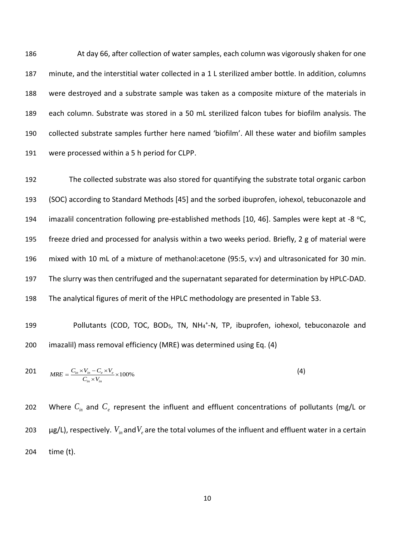At day 66, after collection of water samples, each column was vigorously shaken for one minute, and the interstitial water collected in a 1 L sterilized amber bottle. In addition, columns were destroyed and a substrate sample was taken as a composite mixture of the materials in each column. Substrate was stored in a 50 mL sterilized falcon tubes for biofilm analysis. The collected substrate samples further here named 'biofilm'. All these water and biofilm samples were processed within a 5 h period for CLPP.

 The collected substrate was also stored for quantifying the substrate total organic carbon (SOC) according to Standard Methods [\[45\]](#page-32-0) and the sorbed ibuprofen, iohexol, tebuconazole and 194 imazalil concentration following pre-established methods [\[10,](#page-29-7) [46\]](#page-32-1). Samples were kept at -8 °C, freeze dried and processed for analysis within a two weeks period. Briefly, 2 g of material were mixed with 10 mL of a mixture of methanol:acetone (95:5, v:v) and ultrasonicated for 30 min. The slurry was then centrifuged and the supernatant separated for determination by HPLC-DAD. The analytical figures of merit of the HPLC methodology are presented in Table S3.

199 Pollutants (COD, TOC, BOD<sub>5</sub>, TN, NH<sub>4</sub><sup>+</sup>-N, TP, ibuprofen, iohexol, tebuconazole and 200 imazalil) mass removal efficiency (MRE) was determined using Eq. (4)

201 
$$
MRE = \frac{C_{in} \times V_{in} - C_e \times V_e}{C_{in} \times V_{in}} \times 100\%
$$
 (4)

202 btt Where  $C_{in}$  and  $C_e$  represent the influent and effluent concentrations of pollutants (mg/L or 203  $\mu$ g/L), respectively.  $V_{in}$  and $V_{e}$  are the total volumes of the influent and effluent water in a certain 204 time (t).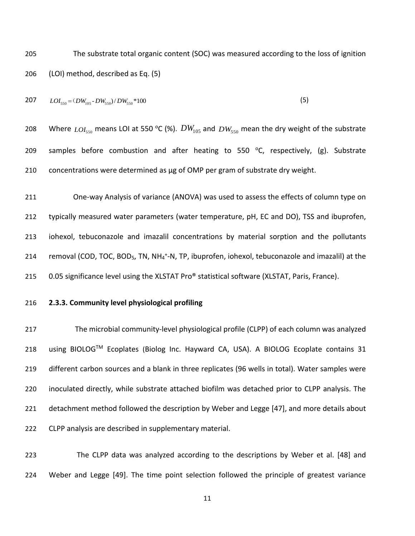The substrate total organic content (SOC) was measured according to the loss of ignition (LOI) method, described as Eq. (5)

$$
207 \qquad LOI_{550} = (DW_{105} - DW_{550}) / DW_{550} * 100 \tag{5}
$$

208 Where  $_{LOI_{550}}$  means LOI at 550 °C (%).  $DW_{_{105}}$  and  $_{DW_{550}}$  mean the dry weight of the substrate 209 samples before combustion and after heating to 550  $^{\circ}$ C, respectively, (g). Substrate 210 concentrations were determined as µg of OMP per gram of substrate dry weight.

 One-way Analysis of variance (ANOVA) was used to assess the effects of column type on typically measured water parameters (water temperature, pH, EC and DO), TSS and ibuprofen, iohexol, tebuconazole and imazalil concentrations by material sorption and the pollutants 214 removal (COD, TOC, BOD<sub>5</sub>, TN, NH<sub>4</sub><sup>+</sup>-N, TP, ibuprofen, iohexol, tebuconazole and imazalil) at the 215 0.05 significance level using the XLSTAT Pro® statistical software (XLSTAT, Paris, France).

## **2.3.3. Community level physiological profiling**

 The microbial community-level physiological profile (CLPP) of each column was analyzed 218 using BIOLOG™ Ecoplates (Biolog Inc. Hayward CA, USA). A BIOLOG Ecoplate contains 31 different carbon sources and a blank in three replicates (96 wells in total). Water samples were inoculated directly, while substrate attached biofilm was detached prior to CLPP analysis. The detachment method followed the description by Weber and Legge [\[47\]](#page-32-2), and more details about CLPP analysis are described in supplementary material.

 The CLPP data was analyzed according to the descriptions by Weber et al. [\[48\]](#page-32-3) and Weber and Legge [\[49\]](#page-32-4). The time point selection followed the principle of greatest variance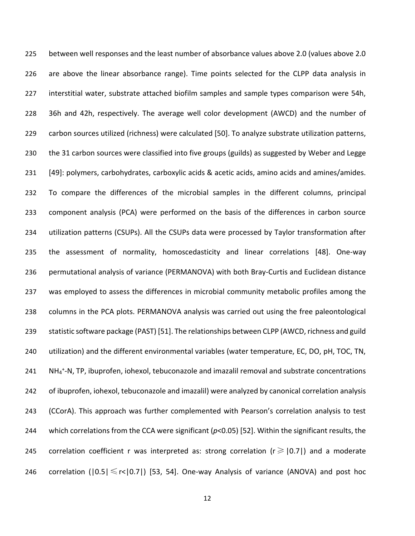between well responses and the least number of absorbance values above 2.0 (values above 2.0 are above the linear absorbance range). Time points selected for the CLPP data analysis in interstitial water, substrate attached biofilm samples and sample types comparison were 54h, 36h and 42h, respectively. The average well color development (AWCD) and the number of carbon sources utilized (richness) were calculated [\[50\]](#page-32-5). To analyze substrate utilization patterns, the 31 carbon sources were classified into five groups (guilds) as suggested by Weber and Legge [\[49\]](#page-32-4): polymers, carbohydrates, carboxylic acids & acetic acids, amino acids and amines/amides. To compare the differences of the microbial samples in the different columns, principal component analysis (PCA) were performed on the basis of the differences in carbon source utilization patterns (CSUPs). All the CSUPs data were processed by Taylor transformation after the assessment of normality, homoscedasticity and linear correlations [\[48\]](#page-32-3). One-way permutational analysis of variance (PERMANOVA) with both Bray-Curtis and Euclidean distance was employed to assess the differences in microbial community metabolic profiles among the columns in the PCA plots. PERMANOVA analysis was carried out using the free paleontological statistic software package (PAST) [\[51\]](#page-32-6). The relationships between CLPP (AWCD, richness and guild utilization) and the different environmental variables (water temperature, EC, DO, pH, TOC, TN, 241 NH<sub>4</sub><sup>+</sup>-N, TP, ibuprofen, iohexol, tebuconazole and imazalil removal and substrate concentrations of ibuprofen, iohexol, tebuconazole and imazalil) were analyzed by canonical correlation analysis (CCorA). This approach was further complemented with Pearson's correlation analysis to test which correlations from the CCA were significant (*p*<0.05) [\[52\]](#page-32-7). Within the significant results, the 245 correlation coefficient r was interpreted as: strong correlation ( $r \geq 0.7$ ) and a moderate 246 correlation ( $|0.5| \le r < |0.7|$ ) [\[53,](#page-32-8) [54\]](#page-32-9). One-way Analysis of variance (ANOVA) and post hoc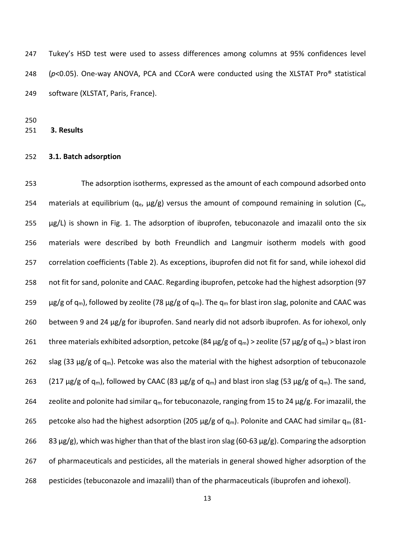Tukey's HSD test were used to assess differences among columns at 95% confidences level (*p*<0.05). One-way ANOVA, PCA and CCorA were conducted using the XLSTAT Pro® statistical software (XLSTAT, Paris, France).

**3. Results** 

#### **3.1. Batch adsorption**

 The adsorption isotherms, expressed as the amount of each compound adsorbed onto 254 materials at equilibrium ( $q_e$ ,  $\mu$ g/g) versus the amount of compound remaining in solution ( $C_e$ , µg/L) is shown in Fig. 1. The adsorption of ibuprofen, tebuconazole and imazalil onto the six materials were described by both Freundlich and Langmuir isotherm models with good correlation coefficients (Table 2). As exceptions, ibuprofen did not fit for sand, while iohexol did not fit for sand, polonite and CAAC. Regarding ibuprofen, petcoke had the highest adsorption (97 259  $\mu$ g/g of q<sub>m</sub>), followed by zeolite (78  $\mu$ g/g of q<sub>m</sub>). The q<sub>m</sub> for blast iron slag, polonite and CAAC was between 9 and 24 µg/g for ibuprofen. Sand nearly did not adsorb ibuprofen. As for iohexol, only 261 three materials exhibited adsorption, petcoke (84  $\mu$ g/g of q<sub>m</sub>) > zeolite (57  $\mu$ g/g of q<sub>m</sub>) > blast iron 262 slag (33  $\mu$ g/g of q<sub>m</sub>). Petcoke was also the material with the highest adsorption of tebuconazole 263 (217  $\mu$ g/g of q<sub>m</sub>), followed by CAAC (83  $\mu$ g/g of q<sub>m</sub>) and blast iron slag (53  $\mu$ g/g of q<sub>m</sub>). The sand, 264 zeolite and polonite had similar  $q_m$  for tebuconazole, ranging from 15 to 24  $\mu$ g/g. For imazalil, the 265 petcoke also had the highest adsorption (205  $\mu$ g/g of q<sub>m</sub>). Polonite and CAAC had similar q<sub>m</sub> (81-266 83  $\mu$ g/g), which was higher than that of the blast iron slag (60-63  $\mu$ g/g). Comparing the adsorption of pharmaceuticals and pesticides, all the materials in general showed higher adsorption of the pesticides (tebuconazole and imazalil) than of the pharmaceuticals (ibuprofen and iohexol).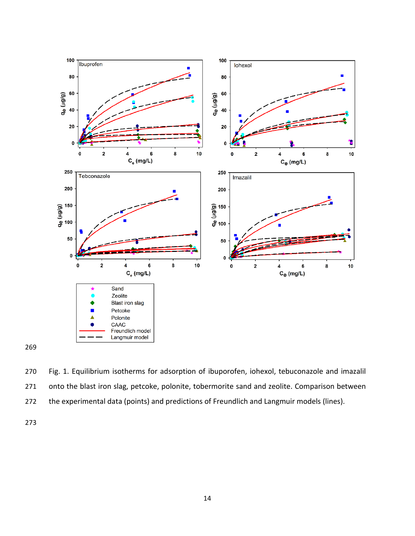

 Fig. 1. Equilibrium isotherms for adsorption of ibuporofen, iohexol, tebuconazole and imazalil 271 onto the blast iron slag, petcoke, polonite, tobermorite sand and zeolite. Comparison between the experimental data (points) and predictions of Freundlich and Langmuir models (lines).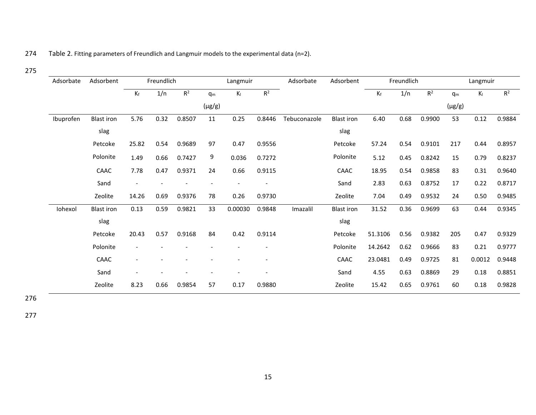# 274 Table 2. Fitting parameters of Freundlich and Langmuir models to the experimental data (n=2).

# 275

| Adsorbate | Adsorbent         | Freundlich               |      |        | Langmuir       |         | Adsorbate | Adsorbent    | Freundlich        |         |      | Langmuir       |                |         |                |
|-----------|-------------------|--------------------------|------|--------|----------------|---------|-----------|--------------|-------------------|---------|------|----------------|----------------|---------|----------------|
|           |                   | $K_f$                    | 1/n  | $R^2$  | q <sub>m</sub> | $K_{I}$ | $R^2$     |              |                   | $K_f$   | 1/n  | $\mathsf{R}^2$ | q <sub>m</sub> | $K_{I}$ | $\mathsf{R}^2$ |
|           |                   |                          |      |        | $(\mu g/g)$    |         |           |              |                   |         |      |                | $(\mu g/g)$    |         |                |
| Ibuprofen | <b>Blast iron</b> | 5.76                     | 0.32 | 0.8507 | 11             | 0.25    | 0.8446    | Tebuconazole | <b>Blast iron</b> | 6.40    | 0.68 | 0.9900         | 53             | 0.12    | 0.9884         |
|           | slag              |                          |      |        |                |         |           |              | slag              |         |      |                |                |         |                |
|           | Petcoke           | 25.82                    | 0.54 | 0.9689 | 97             | 0.47    | 0.9556    |              | Petcoke           | 57.24   | 0.54 | 0.9101         | 217            | 0.44    | 0.8957         |
|           | Polonite          | 1.49                     | 0.66 | 0.7427 | 9              | 0.036   | 0.7272    |              | Polonite          | 5.12    | 0.45 | 0.8242         | 15             | 0.79    | 0.8237         |
|           | CAAC              | 7.78                     | 0.47 | 0.9371 | 24             | 0.66    | 0.9115    |              | CAAC              | 18.95   | 0.54 | 0.9858         | 83             | 0.31    | 0.9640         |
|           | Sand              | $\overline{\phantom{a}}$ |      |        |                |         |           |              | Sand              | 2.83    | 0.63 | 0.8752         | 17             | 0.22    | 0.8717         |
|           | Zeolite           | 14.26                    | 0.69 | 0.9376 | 78             | 0.26    | 0.9730    |              | Zeolite           | 7.04    | 0.49 | 0.9532         | 24             | 0.50    | 0.9485         |
| Iohexol   | <b>Blast iron</b> | 0.13                     | 0.59 | 0.9821 | 33             | 0.00030 | 0.9848    | Imazalil     | <b>Blast iron</b> | 31.52   | 0.36 | 0.9699         | 63             | 0.44    | 0.9345         |
|           | slag              |                          |      |        |                |         |           |              | slag              |         |      |                |                |         |                |
|           | Petcoke           | 20.43                    | 0.57 | 0.9168 | 84             | 0.42    | 0.9114    |              | Petcoke           | 51.3106 | 0.56 | 0.9382         | 205            | 0.47    | 0.9329         |
|           | Polonite          |                          |      |        |                |         |           |              | Polonite          | 14.2642 | 0.62 | 0.9666         | 83             | 0.21    | 0.9777         |
|           | CAAC              |                          |      |        |                |         |           |              | CAAC              | 23.0481 | 0.49 | 0.9725         | 81             | 0.0012  | 0.9448         |
|           | Sand              | $\overline{\phantom{a}}$ |      |        |                |         |           |              | Sand              | 4.55    | 0.63 | 0.8869         | 29             | 0.18    | 0.8851         |
|           | Zeolite           | 8.23                     | 0.66 | 0.9854 | 57             | 0.17    | 0.9880    |              | Zeolite           | 15.42   | 0.65 | 0.9761         | 60             | 0.18    | 0.9828         |

276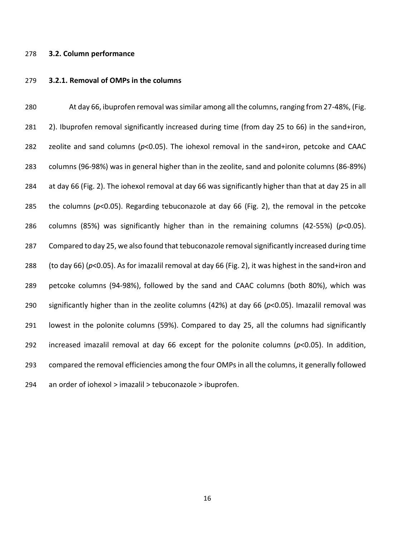#### **3.2. Column performance**

#### **3.2.1. Removal of OMPs in the columns**

 At day 66, ibuprofen removal was similar among all the columns, ranging from 27-48%, (Fig. 281 2). Ibuprofen removal significantly increased during time (from day 25 to 66) in the sand+iron, zeolite and sand columns (*p*<0.05). The iohexol removal in the sand+iron, petcoke and CAAC columns (96-98%) was in general higher than in the zeolite, sand and polonite columns (86-89%) at day 66 (Fig. 2). The iohexol removal at day 66 was significantly higher than that at day 25 in all the columns (*p*<0.05). Regarding tebuconazole at day 66 (Fig. 2), the removal in the petcoke columns (85%) was significantly higher than in the remaining columns (42-55%) (*p*<0.05). Compared to day 25, we also found that tebuconazole removal significantly increased during time (to day 66) (*p*<0.05). As for imazalil removal at day 66 (Fig. 2), it was highest in the sand+iron and petcoke columns (94-98%), followed by the sand and CAAC columns (both 80%), which was significantly higher than in the zeolite columns (42%) at day 66 (*p*<0.05). Imazalil removal was lowest in the polonite columns (59%). Compared to day 25, all the columns had significantly increased imazalil removal at day 66 except for the polonite columns (*p*<0.05). In addition, compared the removal efficiencies among the four OMPs in all the columns, it generally followed an order of iohexol > imazalil > tebuconazole > ibuprofen.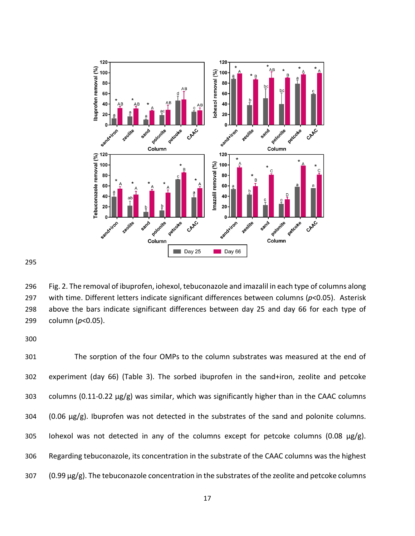

 Fig. 2. The removal of ibuprofen, iohexol, tebuconazole and imazalil in each type of columns along with time. Different letters indicate significant differences between columns (*p*<0.05). Asterisk above the bars indicate significant differences between day 25 and day 66 for each type of column (*p*<0.05).

 The sorption of the four OMPs to the column substrates was measured at the end of experiment (day 66) (Table 3). The sorbed ibuprofen in the sand+iron, zeolite and petcoke 303 columns (0.11-0.22  $\mu$ g/g) was similar, which was significantly higher than in the CAAC columns (0.06 µg/g). Ibuprofen was not detected in the substrates of the sand and polonite columns. 305 Iohexol was not detected in any of the columns except for petcoke columns (0.08  $\mu$ g/g). Regarding tebuconazole, its concentration in the substrate of the CAAC columns was the highest 307 (0.99 µg/g). The tebuconazole concentration in the substrates of the zeolite and petcoke columns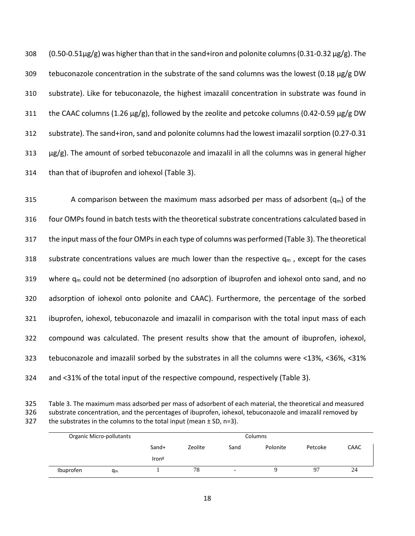308 (0.50-0.51µg/g) was higher than that in the sand+iron and polonite columns (0.31-0.32 µg/g). The 309 tebuconazole concentration in the substrate of the sand columns was the lowest (0.18  $\mu$ g/g DW 310 substrate). Like for tebuconazole, the highest imazalil concentration in substrate was found in 311 the CAAC columns (1.26  $\mu$ g/g), followed by the zeolite and petcoke columns (0.42-0.59  $\mu$ g/g DW 312 substrate). The sand+iron, sand and polonite columns had the lowest imazalil sorption (0.27-0.31  $313 \mu g/g$ ). The amount of sorbed tebuconazole and imazalil in all the columns was in general higher 314 than that of ibuprofen and iohexol (Table 3).

315 A comparison between the maximum mass adsorbed per mass of adsorbent  $(q_m)$  of the four OMPs found in batch tests with the theoretical substrate concentrations calculated based in the input mass of the four OMPsin each type of columns was performed (Table 3). The theoretical 318 substrate concentrations values are much lower than the respective  $q_m$ , except for the cases 319 where  $q_m$  could not be determined (no adsorption of ibuprofen and iohexol onto sand, and no adsorption of iohexol onto polonite and CAAC). Furthermore, the percentage of the sorbed ibuprofen, iohexol, tebuconazole and imazalil in comparison with the total input mass of each compound was calculated. The present results show that the amount of ibuprofen, iohexol, tebuconazole and imazalil sorbed by the substrates in all the columns were <13%, <36%, <31% and <31% of the total input of the respective compound, respectively (Table 3).

325 Table 3. The maximum mass adsorbed per mass of adsorbent of each material, the theoretical and measured 326 substrate concentration, and the percentages of ibuprofen, iohexol, tebuconazole and imazalil removed by 327 the substrates in the columns to the total input (mean  $\pm$  SD, n=3).

|           | Organic Micro-pollutants |                   |         |      |          |         |             |
|-----------|--------------------------|-------------------|---------|------|----------|---------|-------------|
|           |                          | Sand+             | Zeolite | Sand | Polonite | Petcoke | <b>CAAC</b> |
|           |                          | Iron <sup>g</sup> |         |      |          |         |             |
| Ibuprofen | q <sub>m</sub>           |                   | 78      | -    |          | 97      | 24          |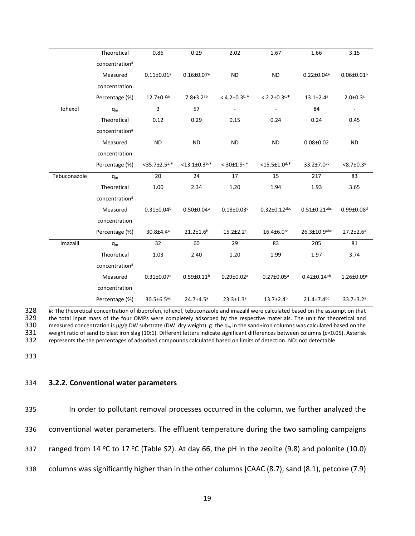|              | Theoretical    | 0.86                         | 0.29                         | 2.02                          | 1.67                           | 1.66                         | 3.15                         |
|--------------|----------------|------------------------------|------------------------------|-------------------------------|--------------------------------|------------------------------|------------------------------|
|              | concentration# |                              |                              |                               |                                |                              |                              |
|              | Measured       | $0.11 \pm 0.01$ <sup>a</sup> | $0.16 \pm 0.07$ <sup>a</sup> | <b>ND</b>                     | <b>ND</b>                      | $0.22 \pm 0.04$ <sup>a</sup> | $0.06 \pm 0.01$ <sup>b</sup> |
|              | concentration  |                              |                              |                               |                                |                              |                              |
|              | Percentage (%) | $12.7 \pm 0.9^a$             | $7.8 + 3.2$ <sup>ab</sup>    | $<$ 4.2±0.3 <sup>b,*</sup>    | $< 2.2 \pm 0.3$ <sup>c,*</sup> | $13.1 \pm 2.4^a$             | $2.0 \pm 0.3$ <sup>c</sup>   |
| Iohexol      | $q_m$          | $\overline{3}$               | 57                           | $\overline{\phantom{a}}$      | $\overline{\phantom{a}}$       | 84                           | $\blacksquare$               |
|              | Theoretical    | 0.12                         | 0.29                         | 0.15                          | 0.24                           | 0.24                         | 0.45                         |
|              | concentration# |                              |                              |                               |                                |                              |                              |
|              | Measured       | <b>ND</b>                    | <b>ND</b>                    | <b>ND</b>                     | <b>ND</b>                      | $0.08 \pm 0.02$              | <b>ND</b>                    |
|              | concentration  |                              |                              |                               |                                |                              |                              |
|              | Percentage (%) | $<$ 35.7 $\pm$ 2.5 $a,*$     | $<$ 13.1±0.3 <sup>b,*</sup>  | $< 30 \pm 1.9$ <sup>c,*</sup> | $<$ 15.5±1.0 <sup>d,*</sup>    | $33.2 \pm 7.0$ <sup>ac</sup> | $< 8.7 \pm 0.3$ <sup>e</sup> |
| Tebuconazole | $q_m$          | 20                           | 24                           | 17                            | 15                             | 217                          | 83                           |
|              | Theoretical    | 1.00                         | 2.34                         | 1.20                          | 1.94                           | 1.93                         | 3.65                         |
|              | concentration# |                              |                              |                               |                                |                              |                              |
|              | Measured       | $0.31 \pm 0.04^b$            | $0.50 \pm 0.04$ <sup>a</sup> | $0.18 \pm 0.03$ <sup>c</sup>  | $0.32 \pm 0.12$ abc            | $0.51 \pm 0.21$ abc          | $0.99 \pm 0.08$ <sup>d</sup> |
|              | concentration  |                              |                              |                               |                                |                              |                              |
|              | Percentage (%) | $30.8 \pm 4.4$ <sup>a</sup>  | $21.2 \pm 1.6^b$             | $15.2 \pm 2.2$ <sup>c</sup>   | $16.4 \pm 6.0$ <sub>bc</sub>   | $26.3 \pm 10.9$ abc          | $27.2 \pm 2.6^a$             |
| Imazalil     | $q_m$          | 32                           | 60                           | 29                            | 83                             | 205                          | 81                           |
|              | Theoretical    | 1.03                         | 2.40                         | 1.20                          | 1.99                           | 1.97                         | 3.74                         |
|              | concentration# |                              |                              |                               |                                |                              |                              |
|              | Measured       | $0.31 \pm 0.07$ <sup>a</sup> | $0.59 \pm 0.11^b$            | $0.29 \pm 0.02$ <sup>a</sup>  | $0.27 \pm 0.05$ <sup>a</sup>   | $0.42 \pm 0.14^{ab}$         | $1.26 \pm 0.09$ <sup>c</sup> |
|              | concentration  |                              |                              |                               |                                |                              |                              |
|              | Percentage (%) | $30.5 \pm 6.5$ <sup>ac</sup> | $24.7 + 4.5^a$               | $23.3 \pm 1.3$ <sup>a</sup>   | $13.7 \pm 2.4^b$               | $21.4 \pm 7.4$ <sub>bc</sub> | $33.7 \pm 3.2$ <sup>a</sup>  |

<sup>#</sup>: The theoretical concentration of ibuprofen, iohexol, tebuconzaole and imazalil were calculated based on the assumption that 329 the total input mass of the four OMPs were completely adsorbed by the respective material 329 the total input mass of the four OMPs were completely adsorbed by the respective materials. The unit for theoretical and 330 measured concentration is  $\mu g/g$  DW substrate (DW: dry weight). g: the q<sub>m</sub> in the sand+iron 330 measured concentration is  $\mu$ g/g DW substrate (DW: dry weight). g: the q<sub>m</sub> in the sand+iron columns was calculated based on the 331 weight ratio of sand to blast iron slag (10:1). Different letters indicate signific 331 weight ratio of sand to blast iron slag (10:1). Different letters indicate significant differences between columns (*p*<0.05). Asterisk represents the the percentages of adsorbed compounds calculated based on limits of detection. ND: not detectable.

333

## 334 **3.2.2. Conventional water parameters**

 In order to pollutant removal processes occurred in the column, we further analyzed the conventional water parameters. The effluent temperature during the two sampling campaigns 337 ranged from 14 °C to 17 °C (Table S2). At day 66, the pH in the zeolite (9.8) and polonite (10.0) columns was significantly higher than in the other columns [CAAC (8.7), sand (8.1), petcoke (7.9)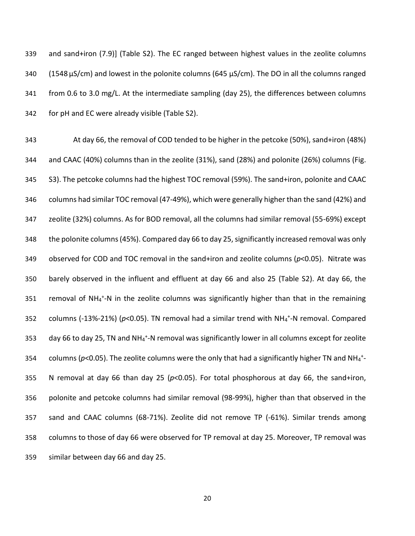and sand+iron (7.9)] (Table S2). The EC ranged between highest values in the zeolite columns 340 (1548 µS/cm) and lowest in the polonite columns (645 µS/cm). The DO in all the columns ranged from 0.6 to 3.0 mg/L. At the intermediate sampling (day 25), the differences between columns for pH and EC were already visible (Table S2).

 At day 66, the removal of COD tended to be higher in the petcoke (50%), sand+iron (48%) and CAAC (40%) columns than in the zeolite (31%), sand (28%) and polonite (26%) columns (Fig. S3). The petcoke columns had the highest TOC removal (59%). The sand+iron, polonite and CAAC columns had similar TOC removal (47-49%), which were generally higher than the sand (42%) and zeolite (32%) columns. As for BOD removal, all the columns had similar removal (55-69%) except the polonite columns (45%). Compared day 66 to day 25, significantly increased removal was only observed for COD and TOC removal in the sand+iron and zeolite columns (*p*<0.05). Nitrate was barely observed in the influent and effluent at day 66 and also 25 (Table S2). At day 66, the 351 removal of NH<sub>4</sub><sup>+</sup>-N in the zeolite columns was significantly higher than that in the remaining 352 columns  $(-13\% - 21\%)$  ( $p<0.05$ ). TN removal had a similar trend with NH<sub>4</sub><sup>+</sup>-N removal. Compared 353 day 66 to day 25, TN and NH $_4$ <sup>+</sup>-N removal was significantly lower in all columns except for zeolite 354 columns ( $p$ <0.05). The zeolite columns were the only that had a significantly higher TN and NH<sub>4</sub><sup>+</sup>- N removal at day 66 than day 25 (*p*<0.05). For total phosphorous at day 66, the sand+iron, polonite and petcoke columns had similar removal (98-99%), higher than that observed in the sand and CAAC columns (68-71%). Zeolite did not remove TP (-61%). Similar trends among columns to those of day 66 were observed for TP removal at day 25. Moreover, TP removal was similar between day 66 and day 25.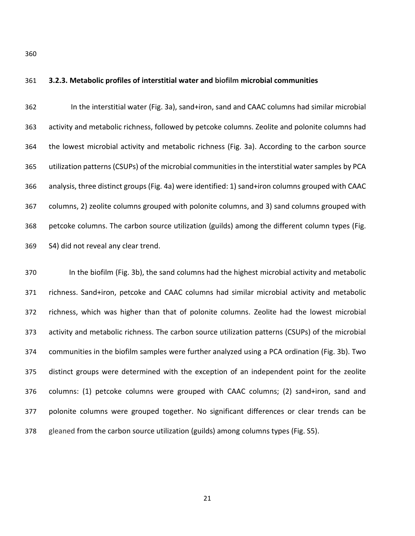**3.2.3. Metabolic profiles of interstitial water and biofilm microbial communities**

 In the interstitial water (Fig. 3a), sand+iron, sand and CAAC columns had similar microbial activity and metabolic richness, followed by petcoke columns. Zeolite and polonite columns had the lowest microbial activity and metabolic richness (Fig. 3a). According to the carbon source utilization patterns (CSUPs) of the microbial communities in the interstitial water samples by PCA analysis, three distinct groups (Fig. 4a) were identified: 1) sand+iron columns grouped with CAAC columns, 2) zeolite columns grouped with polonite columns, and 3) sand columns grouped with petcoke columns. The carbon source utilization (guilds) among the different column types (Fig. S4) did not reveal any clear trend.

 In the biofilm (Fig. 3b), the sand columns had the highest microbial activity and metabolic richness. Sand+iron, petcoke and CAAC columns had similar microbial activity and metabolic richness, which was higher than that of polonite columns. Zeolite had the lowest microbial activity and metabolic richness. The carbon source utilization patterns (CSUPs) of the microbial communities in the biofilm samples were further analyzed using a PCA ordination (Fig. 3b). Two distinct groups were determined with the exception of an independent point for the zeolite columns: (1) petcoke columns were grouped with CAAC columns; (2) sand+iron, sand and polonite columns were grouped together. No significant differences or clear trends can be gleaned from the carbon source utilization (guilds) among columns types (Fig. S5).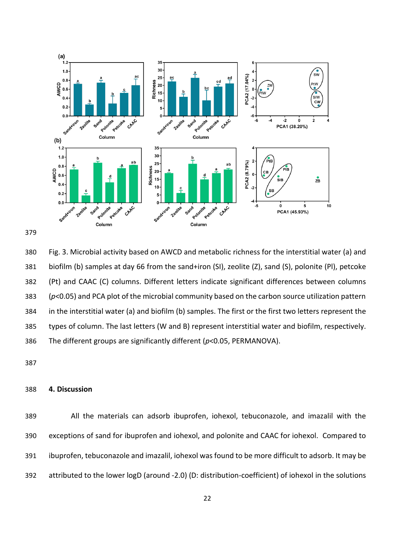



 Fig. 3. Microbial activity based on AWCD and metabolic richness for the interstitial water (a) and biofilm (b) samples at day 66 from the sand+iron (SI), zeolite (Z), sand (S), polonite (Pl), petcoke (Pt) and CAAC (C) columns. Different letters indicate significant differences between columns (*p*<0.05) and PCA plot of the microbial community based on the carbon source utilization pattern in the interstitial water (a) and biofilm (b) samples. The first or the first two letters represent the types of column. The last letters (W and B) represent interstitial water and biofilm, respectively. The different groups are significantly different (*p*<0.05, PERMANOVA).

## **4. Discussion**

 All the materials can adsorb ibuprofen, iohexol, tebuconazole, and imazalil with the exceptions of sand for ibuprofen and iohexol, and polonite and CAAC for iohexol. Compared to ibuprofen, tebuconazole and imazalil, iohexol was found to be more difficult to adsorb. It may be attributed to the lower logD (around -2.0) (D: distribution-coefficient) of iohexol in the solutions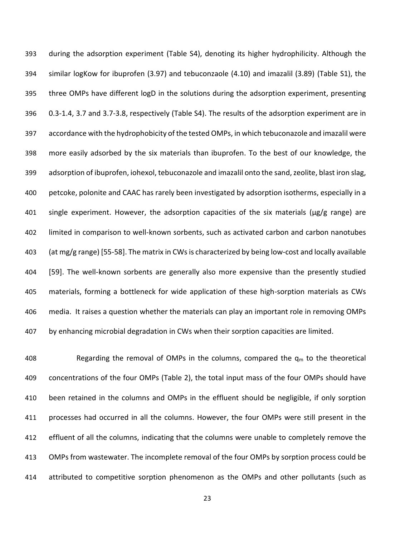during the adsorption experiment (Table S4), denoting its higher hydrophilicity. Although the similar logKow for ibuprofen (3.97) and tebuconzaole (4.10) and imazalil (3.89) (Table S1), the three OMPs have different logD in the solutions during the adsorption experiment, presenting 0.3-1.4, 3.7 and 3.7-3.8, respectively (Table S4). The results of the adsorption experiment are in accordance with the hydrophobicity of the tested OMPs, in which tebuconazole and imazalil were more easily adsorbed by the six materials than ibuprofen. To the best of our knowledge, the adsorption of ibuprofen, iohexol, tebuconazole and imazalil onto the sand, zeolite, blast iron slag, petcoke, polonite and CAAC has rarely been investigated by adsorption isotherms, especially in a single experiment. However, the adsorption capacities of the six materials (µg/g range) are limited in comparison to well-known sorbents, such as activated carbon and carbon nanotubes (at mg/g range) [\[55-58\]](#page-32-10). The matrix in CWs is characterized by being low-cost and locally available [\[59\]](#page-33-0). The well-known sorbents are generally also more expensive than the presently studied materials, forming a bottleneck for wide application of these high-sorption materials as CWs media. It raises a question whether the materials can play an important role in removing OMPs by enhancing microbial degradation in CWs when their sorption capacities are limited.

408 Regarding the removal of OMPs in the columns, compared the  $q_m$  to the theoretical concentrations of the four OMPs (Table 2), the total input mass of the four OMPs should have been retained in the columns and OMPs in the effluent should be negligible, if only sorption processes had occurred in all the columns. However, the four OMPs were still present in the effluent of all the columns, indicating that the columns were unable to completely remove the OMPs from wastewater. The incomplete removal of the four OMPs by sorption process could be attributed to competitive sorption phenomenon as the OMPs and other pollutants (such as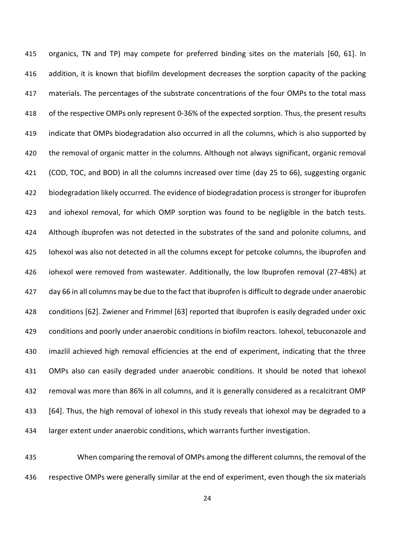organics, TN and TP) may compete for preferred binding sites on the materials [\[60,](#page-33-1) [61\]](#page-33-2). In addition, it is known that biofilm development decreases the sorption capacity of the packing materials. The percentages of the substrate concentrations of the four OMPs to the total mass of the respective OMPs only represent 0-36% of the expected sorption. Thus, the present results indicate that OMPs biodegradation also occurred in all the columns, which is also supported by the removal of organic matter in the columns. Although not always significant, organic removal (COD, TOC, and BOD) in all the columns increased over time (day 25 to 66), suggesting organic biodegradation likely occurred. The evidence of biodegradation process is stronger for ibuprofen and iohexol removal, for which OMP sorption was found to be negligible in the batch tests. 424 Although ibuprofen was not detected in the substrates of the sand and polonite columns, and Iohexol was also not detected in all the columns except for petcoke columns, the ibuprofen and iohexol were removed from wastewater. Additionally, the low Ibuprofen removal (27-48%) at day 66 in all columns may be due to the fact that ibuprofen is difficult to degrade under anaerobic conditions [\[62\]](#page-33-3). Zwiener and Frimmel [\[63\]](#page-33-4) reported that ibuprofen is easily degraded under oxic 429 conditions and poorly under anaerobic conditions in biofilm reactors. Iohexol, tebuconazole and imazlil achieved high removal efficiencies at the end of experiment, indicating that the three OMPs also can easily degraded under anaerobic conditions. It should be noted that iohexol removal was more than 86% in all columns, and it is generally considered as a recalcitrant OMP [\[64\]](#page-33-5). Thus, the high removal of iohexol in this study reveals that iohexol may be degraded to a larger extent under anaerobic conditions, which warrants further investigation.

 When comparing the removal of OMPs among the different columns, the removal of the 436 respective OMPs were generally similar at the end of experiment, even though the six materials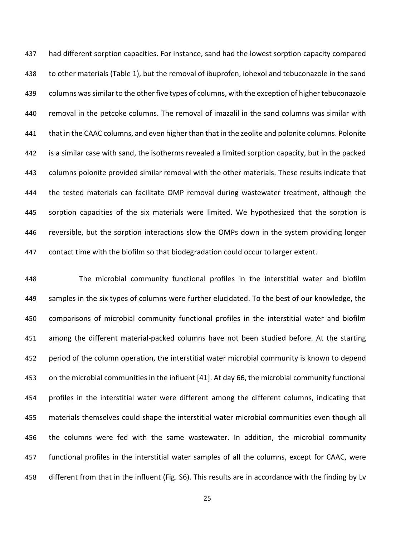had different sorption capacities. For instance, sand had the lowest sorption capacity compared to other materials (Table 1), but the removal of ibuprofen, iohexol and tebuconazole in the sand columns was similar to the other five types of columns, with the exception of higher tebuconazole removal in the petcoke columns. The removal of imazalil in the sand columns was similar with that in the CAAC columns, and even higher than that in the zeolite and polonite columns. Polonite is a similar case with sand, the isotherms revealed a limited sorption capacity, but in the packed columns polonite provided similar removal with the other materials. These results indicate that the tested materials can facilitate OMP removal during wastewater treatment, although the sorption capacities of the six materials were limited. We hypothesized that the sorption is reversible, but the sorption interactions slow the OMPs down in the system providing longer contact time with the biofilm so that biodegradation could occur to larger extent.

 The microbial community functional profiles in the interstitial water and biofilm samples in the six types of columns were further elucidated. To the best of our knowledge, the comparisons of microbial community functional profiles in the interstitial water and biofilm among the different material-packed columns have not been studied before. At the starting period of the column operation, the interstitial water microbial community is known to depend on the microbial communities in the influent [\[41\]](#page-31-6). At day 66, the microbial community functional profiles in the interstitial water were different among the different columns, indicating that materials themselves could shape the interstitial water microbial communities even though all the columns were fed with the same wastewater. In addition, the microbial community functional profiles in the interstitial water samples of all the columns, except for CAAC, were different from that in the influent (Fig. S6). This results are in accordance with the finding by Lv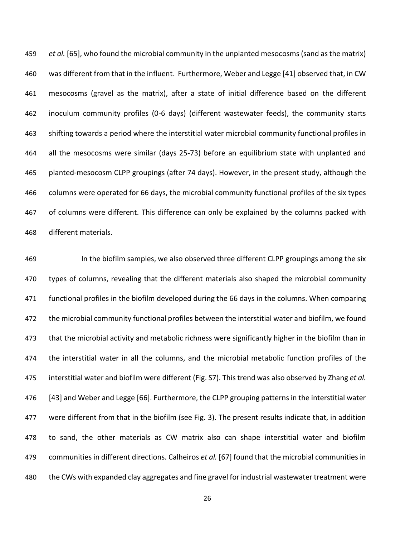*et al.* [\[65\]](#page-33-6), who found the microbial community in the unplanted mesocosms (sand as the matrix) was different from that in the influent. Furthermore, Weber and Legge [\[41\]](#page-31-6) observed that, in CW mesocosms (gravel as the matrix), after a state of initial difference based on the different inoculum community profiles (0-6 days) (different wastewater feeds), the community starts shifting towards a period where the interstitial water microbial community functional profiles in all the mesocosms were similar (days 25-73) before an equilibrium state with unplanted and planted-mesocosm CLPP groupings (after 74 days). However, in the present study, although the columns were operated for 66 days, the microbial community functional profiles of the six types of columns were different. This difference can only be explained by the columns packed with different materials.

 In the biofilm samples, we also observed three different CLPP groupings among the six 470 types of columns, revealing that the different materials also shaped the microbial community functional profiles in the biofilm developed during the 66 days in the columns. When comparing the microbial community functional profiles between the interstitial water and biofilm, we found that the microbial activity and metabolic richness were significantly higher in the biofilm than in the interstitial water in all the columns, and the microbial metabolic function profiles of the interstitial water and biofilm were different (Fig. S7). This trend was also observed by Zhang *et al.* [\[43\]](#page-31-7) and Weber and Legge [\[66\]](#page-33-7). Furthermore, the CLPP grouping patterns in the interstitial water were different from that in the biofilm (see Fig. 3). The present results indicate that, in addition to sand, the other materials as CW matrix also can shape interstitial water and biofilm communities in different directions. Calheiros *et al.* [\[67\]](#page-33-8) found that the microbial communities in the CWs with expanded clay aggregates and fine gravel for industrial wastewater treatment were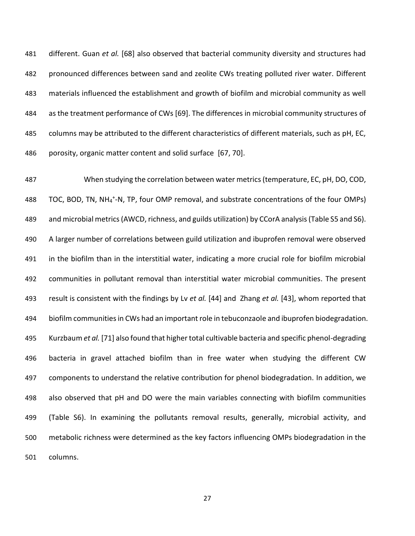different. Guan *et al.* [\[68\]](#page-34-0) also observed that bacterial community diversity and structures had pronounced differences between sand and zeolite CWs treating polluted river water. Different materials influenced the establishment and growth of biofilm and microbial community as well as the treatment performance of CWs [\[69\]](#page-34-1). The differences in microbial community structures of columns may be attributed to the different characteristics of different materials, such as pH, EC, porosity, organic matter content and solid surface [\[67,](#page-33-8) [70\]](#page-34-2).

 When studying the correlation between water metrics (temperature, EC, pH, DO, COD, 488 TOC, BOD, TN, NH<sub>4</sub><sup>+</sup>-N, TP, four OMP removal, and substrate concentrations of the four OMPs) and microbial metrics(AWCD, richness, and guilds utilization) by CCorA analysis(Table S5 and S6). A larger number of correlations between guild utilization and ibuprofen removal were observed in the biofilm than in the interstitial water, indicating a more crucial role for biofilm microbial communities in pollutant removal than interstitial water microbial communities. The present result is consistent with the findings by Lv *et al.* [\[44\]](#page-32-11) and Zhang *et al.* [\[43\]](#page-31-7), whom reported that biofilm communities in CWs had an important role in tebuconzaole and ibuprofen biodegradation. Kurzbaum *et al.* [\[71\]](#page-34-3) also found that higher total cultivable bacteria and specific phenol-degrading bacteria in gravel attached biofilm than in free water when studying the different CW components to understand the relative contribution for phenol biodegradation. In addition, we also observed that pH and DO were the main variables connecting with biofilm communities (Table S6). In examining the pollutants removal results, generally, microbial activity, and metabolic richness were determined as the key factors influencing OMPs biodegradation in the columns.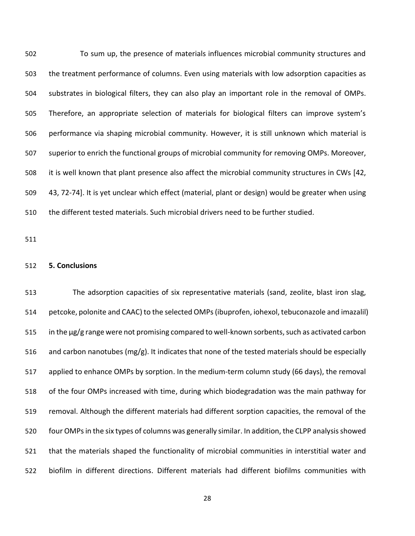To sum up, the presence of materials influences microbial community structures and the treatment performance of columns. Even using materials with low adsorption capacities as substrates in biological filters, they can also play an important role in the removal of OMPs. Therefore, an appropriate selection of materials for biological filters can improve system's performance via shaping microbial community. However, it is still unknown which material is superior to enrich the functional groups of microbial community for removing OMPs. Moreover, it is well known that plant presence also affect the microbial community structures in CWs [\[42,](#page-31-8) [43,](#page-31-7) [72-74\]](#page-34-4). It is yet unclear which effect (material, plant or design) would be greater when using the different tested materials. Such microbial drivers need to be further studied.

## **5. Conclusions**

The adsorption capacities of six representative materials (sand, zeolite, blast iron slag, petcoke, polonite and CAAC) to the selected OMPs(ibuprofen, iohexol, tebuconazole and imazalil) in the µg/g range were not promising compared to well-known sorbents, such as activated carbon 516 and carbon nanotubes (mg/g). It indicates that none of the tested materials should be especially applied to enhance OMPs by sorption. In the medium-term column study (66 days), the removal of the four OMPs increased with time, during which biodegradation was the main pathway for removal. Although the different materials had different sorption capacities, the removal of the 520 four OMPs in the six types of columns was generally similar. In addition, the CLPP analysis showed that the materials shaped the functionality of microbial communities in interstitial water and biofilm in different directions. Different materials had different biofilms communities with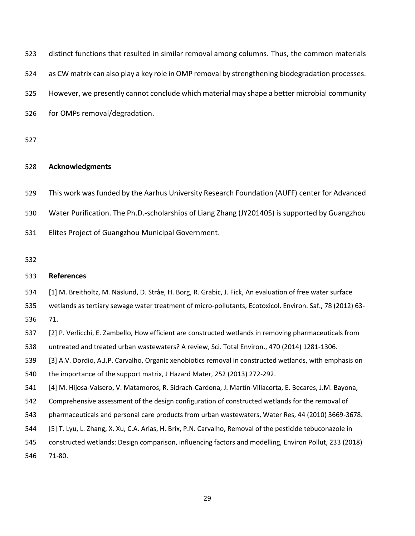<span id="page-28-3"></span><span id="page-28-2"></span><span id="page-28-1"></span><span id="page-28-0"></span>

| 523 | distinct functions that resulted in similar removal among columns. Thus, the common materials             |
|-----|-----------------------------------------------------------------------------------------------------------|
| 524 | as CW matrix can also play a key role in OMP removal by strengthening biodegradation processes.           |
| 525 | However, we presently cannot conclude which material may shape a better microbial community               |
| 526 | for OMPs removal/degradation.                                                                             |
| 527 |                                                                                                           |
| 528 | <b>Acknowledgments</b>                                                                                    |
| 529 | This work was funded by the Aarhus University Research Foundation (AUFF) center for Advanced              |
| 530 | Water Purification. The Ph.D.-scholarships of Liang Zhang (JY201405) is supported by Guangzhou            |
| 531 | Elites Project of Guangzhou Municipal Government.                                                         |
| 532 |                                                                                                           |
| 533 | <b>References</b>                                                                                         |
| 534 | [1] M. Breitholtz, M. Näslund, D. Stråe, H. Borg, R. Grabic, J. Fick, An evaluation of free water surface |
| 535 | wetlands as tertiary sewage water treatment of micro-pollutants, Ecotoxicol. Environ. Saf., 78 (2012) 63- |
| 536 | 71.                                                                                                       |
| 537 | [2] P. Verlicchi, E. Zambello, How efficient are constructed wetlands in removing pharmaceuticals from    |
| 538 | untreated and treated urban wastewaters? A review, Sci. Total Environ., 470 (2014) 1281-1306.             |
| 539 | [3] A.V. Dordio, A.J.P. Carvalho, Organic xenobiotics removal in constructed wetlands, with emphasis on   |
| 540 | the importance of the support matrix, J Hazard Mater, 252 (2013) 272-292.                                 |
| 541 | [4] M. Hijosa-Valsero, V. Matamoros, R. Sidrach-Cardona, J. Martín-Villacorta, E. Becares, J.M. Bayona,   |
| 542 | Comprehensive assessment of the design configuration of constructed wetlands for the removal of           |
| 543 | pharmaceuticals and personal care products from urban wastewaters, Water Res, 44 (2010) 3669-3678.        |
| 544 | [5] T. Lyu, L. Zhang, X. Xu, C.A. Arias, H. Brix, P.N. Carvalho, Removal of the pesticide tebuconazole in |
| 545 | constructed wetlands: Design comparison, influencing factors and modelling, Environ Pollut, 233 (2018)    |
| 546 | 71-80.                                                                                                    |
|     |                                                                                                           |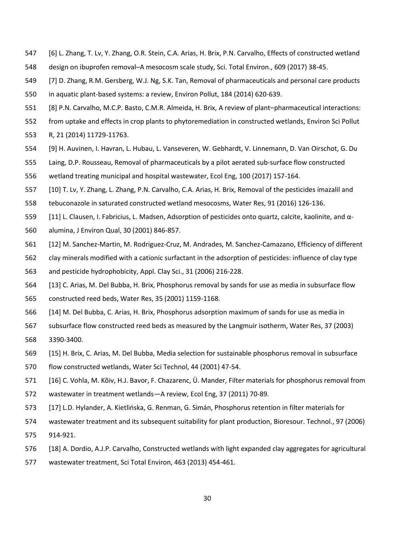- [6] L. Zhang, T. Lv, Y. Zhang, O.R. Stein, C.A. Arias, H. Brix, P.N. Carvalho, Effects of constructed wetland
- design on ibuprofen removal–A mesocosm scale study, Sci. Total Environ., 609 (2017) 38-45.
- <span id="page-29-0"></span> [7] D. Zhang, R.M. Gersberg, W.J. Ng, S.K. Tan, Removal of pharmaceuticals and personal care products in aquatic plant-based systems: a review, Environ Pollut, 184 (2014) 620-639.
- [8] P.N. Carvalho, M.C.P. Basto, C.M.R. Almeida, H. Brix, A review of plant–pharmaceutical interactions:
- from uptake and effects in crop plants to phytoremediation in constructed wetlands, Environ Sci Pollut
- R, 21 (2014) 11729-11763.
- [9] H. Auvinen, I. Havran, L. Hubau, L. Vanseveren, W. Gebhardt, V. Linnemann, D. Van Oirschot, G. Du
- Laing, D.P. Rousseau, Removal of pharmaceuticals by a pilot aerated sub-surface flow constructed
- wetland treating municipal and hospital wastewater, Ecol Eng, 100 (2017) 157-164.
- <span id="page-29-7"></span>[10] T. Lv, Y. Zhang, L. Zhang, P.N. Carvalho, C.A. Arias, H. Brix, Removal of the pesticides imazalil and
- tebuconazole in saturated constructed wetland mesocosms, Water Res, 91 (2016) 126-136.
- <span id="page-29-1"></span>[11] L. Clausen, I. Fabricius, L. Madsen, Adsorption of pesticides onto quartz, calcite, kaolinite, and α-
- alumina, J Environ Qual, 30 (2001) 846-857.
- <span id="page-29-2"></span>[12] M. Sanchez-Martin, M. Rodriguez-Cruz, M. Andrades, M. Sanchez-Camazano, Efficiency of different
- clay minerals modified with a cationic surfactant in the adsorption of pesticides: influence of clay type
- and pesticide hydrophobicity, Appl. Clay Sci., 31 (2006) 216-228.
- <span id="page-29-3"></span> [13] C. Arias, M. Del Bubba, H. Brix, Phosphorus removal by sands for use as media in subsurface flow constructed reed beds, Water Res, 35 (2001) 1159-1168.
- [14] M. Del Bubba, C. Arias, H. Brix, Phosphorus adsorption maximum of sands for use as media in
- subsurface flow constructed reed beds as measured by the Langmuir isotherm, Water Res, 37 (2003) 3390-3400.
- [15] H. Brix, C. Arias, M. Del Bubba, Media selection for sustainable phosphorus removal in subsurface
- flow constructed wetlands, Water Sci Technol, 44 (2001) 47-54.
- <span id="page-29-4"></span>[16] C. Vohla, M. Kõiv, H.J. Bavor, F. Chazarenc, Ü. Mander, Filter materials for phosphorus removal from
- wastewater in treatment wetlands—A review, Ecol Eng, 37 (2011) 70-89.
- <span id="page-29-5"></span>[17] L.D. Hylander, A. Kietlińska, G. Renman, G. Simán, Phosphorus retention in filter materials for
- wastewater treatment and its subsequent suitability for plant production, Bioresour. Technol., 97 (2006)
- 914-921.
- <span id="page-29-6"></span>[18] A. Dordio, A.J.P. Carvalho, Constructed wetlands with light expanded clay aggregates for agricultural
- wastewater treatment, Sci Total Environ, 463 (2013) 454-461.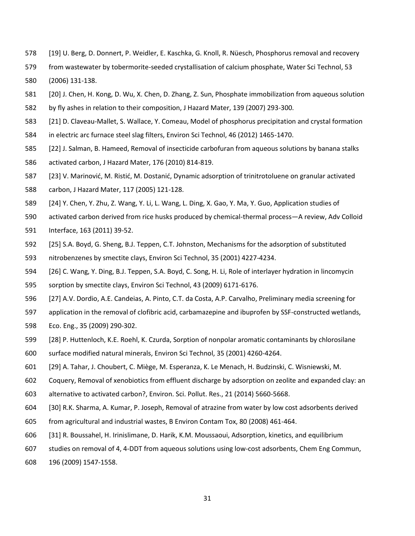- <span id="page-30-0"></span>[19] U. Berg, D. Donnert, P. Weidler, E. Kaschka, G. Knoll, R. Nüesch, Phosphorus removal and recovery
- from wastewater by tobermorite-seeded crystallisation of calcium phosphate, Water Sci Technol, 53 (2006) 131-138.
- <span id="page-30-1"></span>[20] J. Chen, H. Kong, D. Wu, X. Chen, D. Zhang, Z. Sun, Phosphate immobilization from aqueous solution
- by fly ashes in relation to their composition, J Hazard Mater, 139 (2007) 293-300.
- <span id="page-30-2"></span>[21] D. Claveau-Mallet, S. Wallace, Y. Comeau, Model of phosphorus precipitation and crystal formation
- in electric arc furnace steel slag filters, Environ Sci Technol, 46 (2012) 1465-1470.
- <span id="page-30-3"></span>[22] J. Salman, B. Hameed, Removal of insecticide carbofuran from aqueous solutions by banana stalks
- activated carbon, J Hazard Mater, 176 (2010) 814-819.
- [23] V. Marinović, M. Ristić, M. Dostanić, Dynamic adsorption of trinitrotoluene on granular activated
- carbon, J Hazard Mater, 117 (2005) 121-128.
- [24] Y. Chen, Y. Zhu, Z. Wang, Y. Li, L. Wang, L. Ding, X. Gao, Y. Ma, Y. Guo, Application studies of
- activated carbon derived from rice husks produced by chemical-thermal process—A review, Adv Colloid
- Interface, 163 (2011) 39-52.
- <span id="page-30-4"></span>[25] S.A. Boyd, G. Sheng, B.J. Teppen, C.T. Johnston, Mechanisms for the adsorption of substituted
- nitrobenzenes by smectite clays, Environ Sci Technol, 35 (2001) 4227-4234.
- [26] C. Wang, Y. Ding, B.J. Teppen, S.A. Boyd, C. Song, H. Li, Role of interlayer hydration in lincomycin
- sorption by smectite clays, Environ Sci Technol, 43 (2009) 6171-6176.
- [27] A.V. Dordio, A.E. Candeias, A. Pinto, C.T. da Costa, A.P. Carvalho, Preliminary media screening for
- application in the removal of clofibric acid, carbamazepine and ibuprofen by SSF-constructed wetlands,
- Eco. Eng., 35 (2009) 290-302.
- <span id="page-30-5"></span>[28] P. Huttenloch, K.E. Roehl, K. Czurda, Sorption of nonpolar aromatic contaminants by chlorosilane
- surface modified natural minerals, Environ Sci Technol, 35 (2001) 4260-4264.
- <span id="page-30-6"></span>[29] A. Tahar, J. Choubert, C. Miège, M. Esperanza, K. Le Menach, H. Budzinski, C. Wisniewski, M.
- Coquery, Removal of xenobiotics from effluent discharge by adsorption on zeolite and expanded clay: an
- alternative to activated carbon?, Environ. Sci. Pollut. Res., 21 (2014) 5660-5668.
- <span id="page-30-7"></span>[30] R.K. Sharma, A. Kumar, P. Joseph, Removal of atrazine from water by low cost adsorbents derived
- from agricultural and industrial wastes, B Environ Contam Tox, 80 (2008) 461-464.
- [31] R. Boussahel, H. Irinislimane, D. Harik, K.M. Moussaoui, Adsorption, kinetics, and equilibrium
- studies on removal of 4, 4-DDT from aqueous solutions using low-cost adsorbents, Chem Eng Commun,
- 196 (2009) 1547-1558.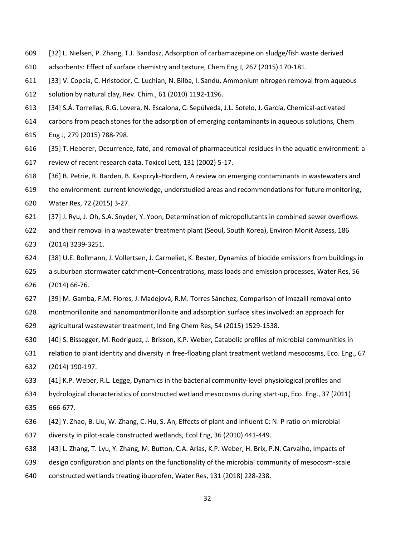- [32] L. Nielsen, P. Zhang, T.J. Bandosz, Adsorption of carbamazepine on sludge/fish waste derived
- adsorbents: Effect of surface chemistry and texture, Chem Eng J, 267 (2015) 170-181.
- <span id="page-31-0"></span>[33] V. Copcia, C. Hristodor, C. Luchian, N. Bilba, I. Sandu, Ammonium nitrogen removal from aqueous
- solution by natural clay, Rev. Chim., 61 (2010) 1192-1196.
- <span id="page-31-1"></span>[34] S.Á. Torrellas, R.G. Lovera, N. Escalona, C. Sepúlveda, J.L. Sotelo, J. García, Chemical-activated
- carbons from peach stones for the adsorption of emerging contaminants in aqueous solutions, Chem
- Eng J, 279 (2015) 788-798.
- <span id="page-31-2"></span>[35] T. Heberer, Occurrence, fate, and removal of pharmaceutical residues in the aquatic environment: a
- review of recent research data, Toxicol Lett, 131 (2002) 5-17.
- [36] B. Petrie, R. Barden, B. Kasprzyk-Hordern, A review on emerging contaminants in wastewaters and
- the environment: current knowledge, understudied areas and recommendations for future monitoring,
- Water Res, 72 (2015) 3-27.
- [37] J. Ryu, J. Oh, S.A. Snyder, Y. Yoon, Determination of micropollutants in combined sewer overflows
- and their removal in a wastewater treatment plant (Seoul, South Korea), Environ Monit Assess, 186
- (2014) 3239-3251.
- <span id="page-31-3"></span>[38] U.E. Bollmann, J. Vollertsen, J. Carmeliet, K. Bester, Dynamics of biocide emissions from buildings in
- a suburban stormwater catchment–Concentrations, mass loads and emission processes, Water Res, 56 (2014) 66-76.
- <span id="page-31-4"></span>[39] M. Gamba, F.M. Flores, J. Madejová, R.M. Torres Sánchez, Comparison of imazalil removal onto
- montmorillonite and nanomontmorillonite and adsorption surface sites involved: an approach for
- agricultural wastewater treatment, Ind Eng Chem Res, 54 (2015) 1529-1538.
- <span id="page-31-5"></span>[40] S. Bissegger, M. Rodriguez, J. Brisson, K.P. Weber, Catabolic profiles of microbial communities in
- relation to plant identity and diversity in free-floating plant treatment wetland mesocosms, Eco. Eng., 67
- (2014) 190-197.
- <span id="page-31-6"></span>[41] K.P. Weber, R.L. Legge, Dynamics in the bacterial community-level physiological profiles and
- hydrological characteristics of constructed wetland mesocosms during start-up, Eco. Eng., 37 (2011)
- 666-677.
- <span id="page-31-8"></span>[42] Y. Zhao, B. Liu, W. Zhang, C. Hu, S. An, Effects of plant and influent C: N: P ratio on microbial
- diversity in pilot-scale constructed wetlands, Ecol Eng, 36 (2010) 441-449.
- <span id="page-31-7"></span>[43] L. Zhang, T. Lyu, Y. Zhang, M. Button, C.A. Arias, K.P. Weber, H. Brix, P.N. Carvalho, Impacts of
- design configuration and plants on the functionality of the microbial community of mesocosm-scale
- constructed wetlands treating ibuprofen, Water Res, 131 (2018) 228-238.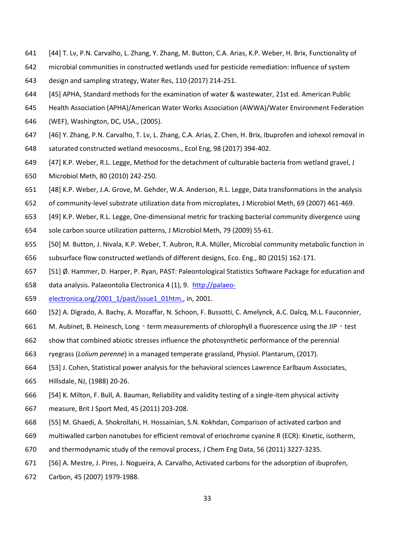- <span id="page-32-11"></span>[44] T. Lv, P.N. Carvalho, L. Zhang, Y. Zhang, M. Button, C.A. Arias, K.P. Weber, H. Brix, Functionality of
- microbial communities in constructed wetlands used for pesticide remediation: Influence of system
- design and sampling strategy, Water Res, 110 (2017) 214-251.
- <span id="page-32-0"></span>[45] APHA, Standard methods for the examination of water & wastewater, 21st ed. American Public
- Health Association (APHA)/American Water Works Association (AWWA)/Water Environment Federation
- (WEF), Washington, DC, USA., (2005).
- <span id="page-32-1"></span> [46] Y. Zhang, P.N. Carvalho, T. Lv, L. Zhang, C.A. Arias, Z. Chen, H. Brix, Ibuprofen and iohexol removal in saturated constructed wetland mesocosms., Ecol Eng, 98 (2017) 394-402.
- <span id="page-32-2"></span>[47] K.P. Weber, R.L. Legge, Method for the detachment of culturable bacteria from wetland gravel, J
- Microbiol Meth, 80 (2010) 242-250.
- <span id="page-32-3"></span>[48] K.P. Weber, J.A. Grove, M. Gehder, W.A. Anderson, R.L. Legge, Data transformations in the analysis
- of community-level substrate utilization data from microplates, J Microbiol Meth, 69 (2007) 461-469.
- <span id="page-32-4"></span>[49] K.P. Weber, R.L. Legge, One-dimensional metric for tracking bacterial community divergence using
- sole carbon source utilization patterns, J Microbiol Meth, 79 (2009) 55-61.
- <span id="page-32-5"></span>[50] M. Button, J. Nivala, K.P. Weber, T. Aubron, R.A. Müller, Microbial community metabolic function in
- subsurface flow constructed wetlands of different designs, Eco. Eng., 80 (2015) 162-171.
- <span id="page-32-6"></span>[51] Ø. Hammer, D. Harper, P. Ryan, PAST: Paleontological Statistics Software Package for education and
- data analysis. Palaeontolia Electronica 4 (1), 9. [http://palaeo-](http://palaeo-electronica.org/2001_1/past/issue1_01htm.)
- [electronica.org/2001\\_1/past/issue1\\_01htm.,](http://palaeo-electronica.org/2001_1/past/issue1_01htm.) in, 2001.
- <span id="page-32-7"></span>[52] A. Digrado, A. Bachy, A. Mozaffar, N. Schoon, F. Bussotti, C. Amelynck, A.C. Dalcq, M.L. Fauconnier,
- 661 M. Aubinet, B. Heinesch, Long term measurements of chlorophyll a fluorescence using the JIP test
- show that combined abiotic stresses influence the photosynthetic performance of the perennial
- ryegrass (*Lolium perenne*) in a managed temperate grassland, Physiol. Plantarum, (2017).
- <span id="page-32-8"></span>[53] J. Cohen, Statistical power analysis for the behavioral sciences Lawrence Earlbaum Associates,
- Hillsdale, NJ, (1988) 20-26.
- <span id="page-32-9"></span>[54] K. Milton, F. Bull, A. Bauman, Reliability and validity testing of a single-item physical activity
- measure, Brit J Sport Med, 45 (2011) 203-208.
- <span id="page-32-10"></span>[55] M. Ghaedi, A. Shokrollahi, H. Hossainian, S.N. Kokhdan, Comparison of activated carbon and
- multiwalled carbon nanotubes for efficient removal of eriochrome cyanine R (ECR): Kinetic, isotherm,
- and thermodynamic study of the removal process, J Chem Eng Data, 56 (2011) 3227-3235.
- [56] A. Mestre, J. Pires, J. Nogueira, A. Carvalho, Activated carbons for the adsorption of ibuprofen,
- Carbon, 45 (2007) 1979-1988.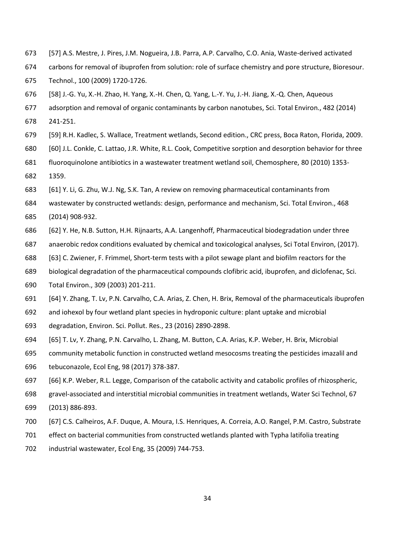- [57] A.S. Mestre, J. Pires, J.M. Nogueira, J.B. Parra, A.P. Carvalho, C.O. Ania, Waste-derived activated
- carbons for removal of ibuprofen from solution: role of surface chemistry and pore structure, Bioresour.
- Technol., 100 (2009) 1720-1726.
- [58] J.-G. Yu, X.-H. Zhao, H. Yang, X.-H. Chen, Q. Yang, L.-Y. Yu, J.-H. Jiang, X.-Q. Chen, Aqueous
- adsorption and removal of organic contaminants by carbon nanotubes, Sci. Total Environ., 482 (2014)
- 241-251.
- <span id="page-33-0"></span>[59] R.H. Kadlec, S. Wallace, Treatment wetlands, Second edition., CRC press, Boca Raton, Florida, 2009.
- <span id="page-33-1"></span>[60] J.L. Conkle, C. Lattao, J.R. White, R.L. Cook, Competitive sorption and desorption behavior for three
- fluoroquinolone antibiotics in a wastewater treatment wetland soil, Chemosphere, 80 (2010) 1353-
- 1359.
- <span id="page-33-2"></span>[61] Y. Li, G. Zhu, W.J. Ng, S.K. Tan, A review on removing pharmaceutical contaminants from
- wastewater by constructed wetlands: design, performance and mechanism, Sci. Total Environ., 468
- (2014) 908-932.
- <span id="page-33-3"></span>[62] Y. He, N.B. Sutton, H.H. Rijnaarts, A.A. Langenhoff, Pharmaceutical biodegradation under three
- anaerobic redox conditions evaluated by chemical and toxicological analyses, Sci Total Environ, (2017).
- <span id="page-33-4"></span>[63] C. Zwiener, F. Frimmel, Short-term tests with a pilot sewage plant and biofilm reactors for the
- biological degradation of the pharmaceutical compounds clofibric acid, ibuprofen, and diclofenac, Sci.
- Total Environ., 309 (2003) 201-211.
- <span id="page-33-5"></span>[64] Y. Zhang, T. Lv, P.N. Carvalho, C.A. Arias, Z. Chen, H. Brix, Removal of the pharmaceuticals ibuprofen
- and iohexol by four wetland plant species in hydroponic culture: plant uptake and microbial
- degradation, Environ. Sci. Pollut. Res., 23 (2016) 2890-2898.
- <span id="page-33-6"></span>[65] T. Lv, Y. Zhang, P.N. Carvalho, L. Zhang, M. Button, C.A. Arias, K.P. Weber, H. Brix, Microbial
- community metabolic function in constructed wetland mesocosms treating the pesticides imazalil and
- tebuconazole, Ecol Eng, 98 (2017) 378-387.
- <span id="page-33-7"></span>[66] K.P. Weber, R.L. Legge, Comparison of the catabolic activity and catabolic profiles of rhizospheric,
- gravel-associated and interstitial microbial communities in treatment wetlands, Water Sci Technol, 67
- (2013) 886-893.
- <span id="page-33-8"></span>[67] C.S. Calheiros, A.F. Duque, A. Moura, I.S. Henriques, A. Correia, A.O. Rangel, P.M. Castro, Substrate
- effect on bacterial communities from constructed wetlands planted with Typha latifolia treating
- industrial wastewater, Ecol Eng, 35 (2009) 744-753.